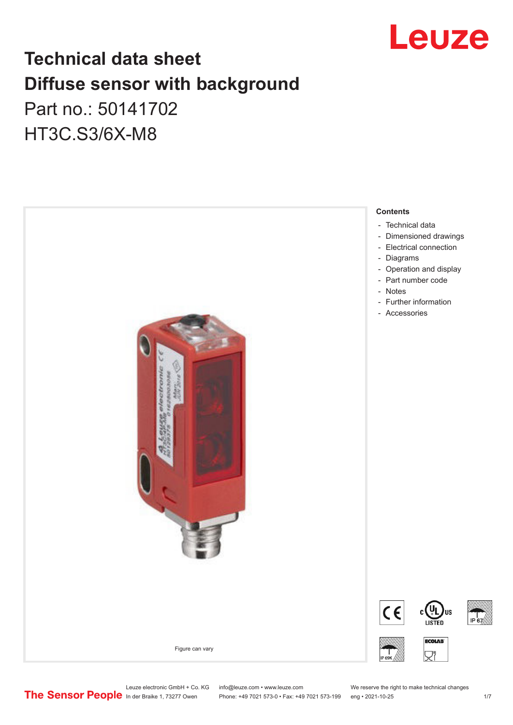

## **Technical data sheet Diffuse sensor with background**  Part no.: 50141702

HT3C.S3/6X-M8



Leuze electronic GmbH + Co. KG info@leuze.com • www.leuze.com We reserve the right to make technical changes<br>
The Sensor People in der Braike 1, 73277 Owen Phone: +49 7021 573-0 • Fax: +49 7021 573-199 eng • 2021-10-25

Phone: +49 7021 573-0 • Fax: +49 7021 573-199 eng • 2021-10-25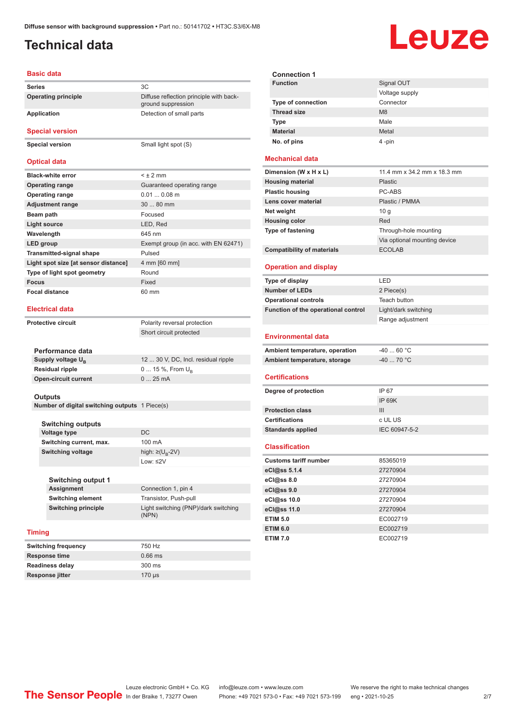ground suppression

## <span id="page-1-0"></span>**Technical data**

## Leuze

#### **Basic data**

**Series** 3C **Operating principle** Diffuse reflection principle with back-

### **Application** Detection of small parts

**Special version**

**Special version** Small light spot (S)

### **Optical data**

| <b>Black-white error</b>             | $< + 2$ mm                           |
|--------------------------------------|--------------------------------------|
| <b>Operating range</b>               | Guaranteed operating range           |
| <b>Operating range</b>               | $0.010.08$ m                         |
| <b>Adjustment range</b>              | $3080$ mm                            |
| Beam path                            | Focused                              |
| <b>Light source</b>                  | LED, Red                             |
| Wavelength                           | 645 nm                               |
| LED group                            | Exempt group (in acc. with EN 62471) |
| <b>Transmitted-signal shape</b>      | Pulsed                               |
| Light spot size [at sensor distance] | 4 mm [60 mm]                         |
| Type of light spot geometry          | Round                                |
| <b>Focus</b>                         | Fixed                                |
| <b>Focal distance</b>                | 60 mm                                |

#### **Electrical data**

**Performance data**

**Protective circuit** Polarity reversal protection Short circuit protected

| Supply voltage U <sub>p</sub> | 12  30 V, DC, Incl. residual ripple |
|-------------------------------|-------------------------------------|
| <b>Residual ripple</b>        | $0 15 \%$ , From $U_{p}$            |
| <b>Open-circuit current</b>   | $025$ mA                            |
|                               |                                     |

### **Outputs**

**Number of digital switching outputs** 1 Piece(s)

| <b>Switching outputs</b> |                                   |
|--------------------------|-----------------------------------|
| Voltage type             | DC.                               |
| Switching current, max.  | 100 mA                            |
| <b>Switching voltage</b> | high: $\geq$ (U <sub>B</sub> -2V) |
|                          | Low: $\leq$ 2V                    |

| Switching output 1  |                                               |
|---------------------|-----------------------------------------------|
| Assignment          | Connection 1, pin 4                           |
| Switching element   | Transistor, Push-pull                         |
| Switching principle | Light switching (PNP)/dark switching<br>(NPN) |

### **Timing**

| <b>Switching frequency</b> | 750 Hz    |
|----------------------------|-----------|
| <b>Response time</b>       | $0.66$ ms |
| <b>Readiness delay</b>     | 300 ms    |
| <b>Response jitter</b>     | $170$ us  |

| <b>Connection 1</b>       |                |
|---------------------------|----------------|
| <b>Function</b>           | Signal OUT     |
|                           | Voltage supply |
| <b>Type of connection</b> | Connector      |
| <b>Thread size</b>        | M <sub>8</sub> |
| <b>Type</b>               | Male           |
| <b>Material</b>           | Metal          |
| No. of pins               | 4-pin          |

### **Mechanical data**

| Dimension (W x H x L)             | 11.4 mm x 34.2 mm x 18.3 mm  |
|-----------------------------------|------------------------------|
| <b>Housing material</b>           | Plastic                      |
| <b>Plastic housing</b>            | PC-ABS                       |
| Lens cover material               | Plastic / PMMA               |
| Net weight                        | 10 q                         |
| <b>Housing color</b>              | Red                          |
| <b>Type of fastening</b>          | Through-hole mounting        |
|                                   | Via optional mounting device |
| <b>Compatibility of materials</b> | <b>ECOLAB</b>                |

### **Operation and display**

| Type of display                               | LED                  |
|-----------------------------------------------|----------------------|
| <b>Number of LEDs</b>                         | 2 Piece(s)           |
| <b>Operational controls</b>                   | Teach button         |
| Function of the operational control           | Light/dark switching |
|                                               | Range adjustment     |
| <b>Environmental data</b>                     |                      |
| $-40$ 60 °C<br>Ambient temperature, operation |                      |
| Ambient temperature, storage                  | $-40$ 70 °C          |
| <b>Certifications</b>                         |                      |
| Degree of protection                          | IP 67                |
|                                               | <b>IP 69K</b>        |
| <b>Protection class</b>                       | III                  |
| <b>Certifications</b>                         | c UL US              |
| <b>Standards applied</b>                      | IEC 60947-5-2        |
| <b>Classification</b>                         |                      |
| <b>Customs tariff number</b>                  | 85365019             |
| eCl@ss 5.1.4                                  | 27270904             |
| eCl@ss 8.0                                    | 27270904             |
| eCl@ss 9.0                                    | 27270904             |
| eCl@ss 10.0                                   | 27270904             |
| eCl@ss 11.0                                   | 27270904             |

**ETIM 5.0** EC002719 **ETIM 6.0** EC002719 **ETIM 7.0** EC002719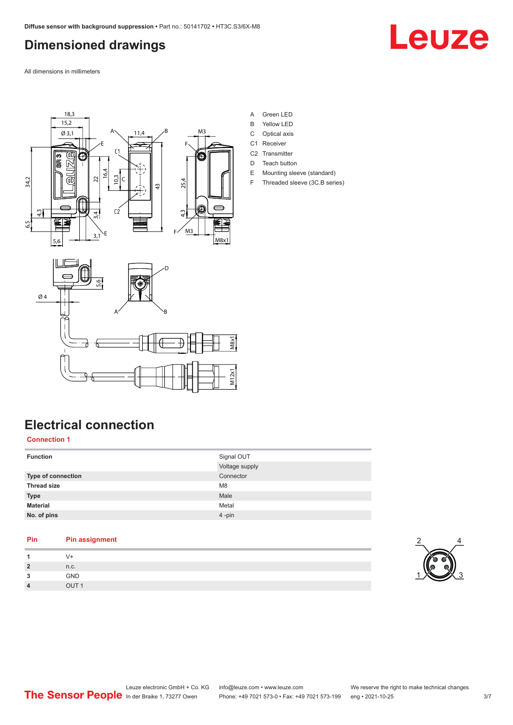## <span id="page-2-0"></span>**Dimensioned drawings**

Leuze

All dimensions in millimeters





- A Green LED
- B Yellow LED
- C Optical axis
- C1 Receiver
- C<sub>2</sub> Transmitter
- D Teach button
- E Mounting sleeve (standard)
- F Threaded sleeve (3C.B series)



## **Electrical connection**

### **Connection 1**

Ø 4

| <b>Function</b>           | Signal OUT     |
|---------------------------|----------------|
|                           | Voltage supply |
| <b>Type of connection</b> | Connector      |
| <b>Thread size</b>        | M <sub>8</sub> |
| <b>Type</b>               | Male           |
| <b>Material</b>           | Metal          |
| No. of pins               | 4-pin          |

M12x1

| Pin            | <b>Pin assignment</b> |
|----------------|-----------------------|
| -1             | $V +$                 |
| $\overline{2}$ | n.c.                  |
| 3              | <b>GND</b>            |
| $\overline{4}$ | OUT <sub>1</sub>      |
|                |                       |

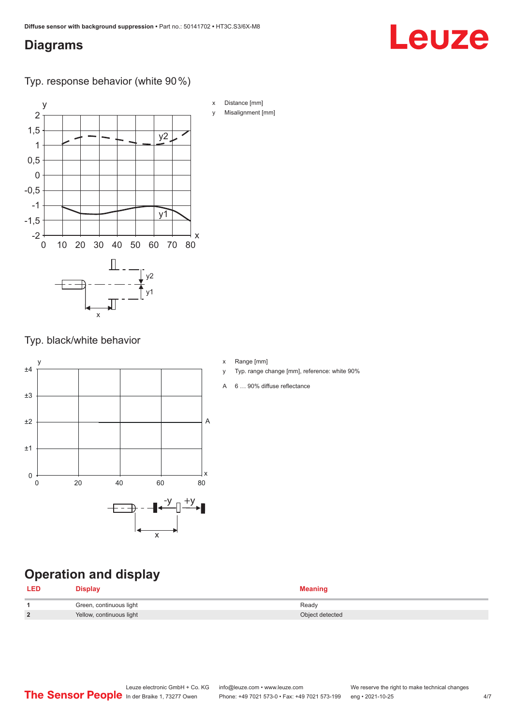### <span id="page-3-0"></span>**Diagrams**

# Leuze

Typ. response behavior (white 90 %)



Typ. black/white behavior



- x Range [mm]
- y Typ. range change [mm], reference: white 90%
- A 6 … 90% diffuse reflectance

## **Operation and display**

| <b>LED</b>             | Display                  | <b>Meaning</b>  |
|------------------------|--------------------------|-----------------|
|                        | Green, continuous light  | Ready           |
| $\mathbf{\Omega}$<br>- | Yellow, continuous light | Object detected |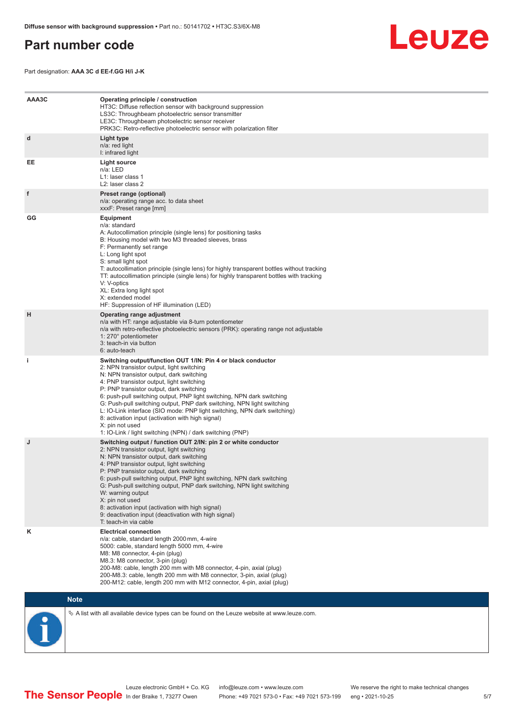### <span id="page-4-0"></span>**Part number code**



Part designation: **AAA 3C d EE-f.GG H/i J-K**

| AAA3C | Operating principle / construction<br>HT3C: Diffuse reflection sensor with background suppression<br>LS3C: Throughbeam photoelectric sensor transmitter<br>LE3C: Throughbeam photoelectric sensor receiver<br>PRK3C: Retro-reflective photoelectric sensor with polarization filter                                                                                                                                                                                                                                                                                                                                 |
|-------|---------------------------------------------------------------------------------------------------------------------------------------------------------------------------------------------------------------------------------------------------------------------------------------------------------------------------------------------------------------------------------------------------------------------------------------------------------------------------------------------------------------------------------------------------------------------------------------------------------------------|
| d     | Light type<br>n/a: red light<br>I: infrared light                                                                                                                                                                                                                                                                                                                                                                                                                                                                                                                                                                   |
| EE    | Light source<br>n/a: LED<br>L1: laser class 1<br>L2: laser class 2                                                                                                                                                                                                                                                                                                                                                                                                                                                                                                                                                  |
| f     | Preset range (optional)<br>n/a: operating range acc. to data sheet<br>xxxF: Preset range [mm]                                                                                                                                                                                                                                                                                                                                                                                                                                                                                                                       |
| GG    | <b>Equipment</b><br>n/a: standard<br>A: Autocollimation principle (single lens) for positioning tasks<br>B: Housing model with two M3 threaded sleeves, brass<br>F: Permanently set range<br>L: Long light spot<br>S: small light spot<br>T: autocollimation principle (single lens) for highly transparent bottles without tracking<br>TT: autocollimation principle (single lens) for highly transparent bottles with tracking<br>V: V-optics<br>XL: Extra long light spot<br>X: extended model<br>HF: Suppression of HF illumination (LED)                                                                       |
| н     | Operating range adjustment<br>n/a with HT: range adjustable via 8-turn potentiometer<br>n/a with retro-reflective photoelectric sensors (PRK): operating range not adjustable<br>1: 270° potentiometer<br>3: teach-in via button<br>6: auto-teach                                                                                                                                                                                                                                                                                                                                                                   |
| i.    | Switching output/function OUT 1/IN: Pin 4 or black conductor<br>2: NPN transistor output, light switching<br>N: NPN transistor output, dark switching<br>4: PNP transistor output, light switching<br>P: PNP transistor output, dark switching<br>6: push-pull switching output, PNP light switching, NPN dark switching<br>G: Push-pull switching output, PNP dark switching, NPN light switching<br>L: IO-Link interface (SIO mode: PNP light switching, NPN dark switching)<br>8: activation input (activation with high signal)<br>X: pin not used<br>1: IO-Link / light switching (NPN) / dark switching (PNP) |
| J     | Switching output / function OUT 2/IN: pin 2 or white conductor<br>2: NPN transistor output, light switching<br>N: NPN transistor output, dark switching<br>4: PNP transistor output, light switching<br>P: PNP transistor output, dark switching<br>6: push-pull switching output, PNP light switching, NPN dark switching<br>G: Push-pull switching output, PNP dark switching, NPN light switching<br>W: warning output<br>X: pin not used<br>8: activation input (activation with high signal)<br>9: deactivation input (deactivation with high signal)<br>T: teach-in via cable                                 |
| κ     | <b>Electrical connection</b><br>n/a: cable, standard length 2000 mm, 4-wire<br>5000: cable, standard length 5000 mm, 4-wire<br>M8: M8 connector, 4-pin (plug)<br>M8.3: M8 connector, 3-pin (plug)<br>200-M8: cable, length 200 mm with M8 connector, 4-pin, axial (plug)<br>200-M8.3: cable, length 200 mm with M8 connector, 3-pin, axial (plug)<br>200-M12: cable, length 200 mm with M12 connector, 4-pin, axial (plug)                                                                                                                                                                                          |

### **Note**



 $\%$  A list with all available device types can be found on the Leuze website at www.leuze.com.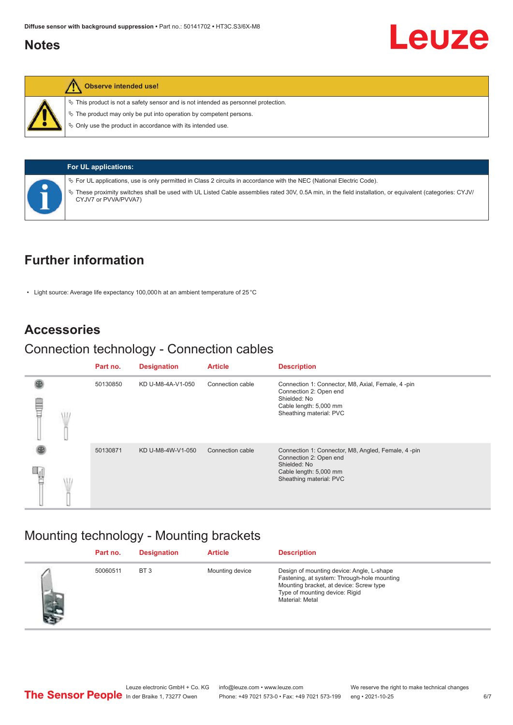### <span id="page-5-0"></span>**Notes**



### **Observe intended use!**

 $\%$  This product is not a safety sensor and is not intended as personnel protection.

 $\ddot{\phi}$  The product may only be put into operation by competent persons.

 $\%$  Only use the product in accordance with its intended use.

| Ų. |
|----|
| Ļ  |
|    |
|    |

**For UL applications:**

ª For UL applications, use is only permitted in Class 2 circuits in accordance with the NEC (National Electric Code).

These proximity switches shall be used with UL Listed Cable assemblies rated 30V, 0.5A min, in the field installation, or equivalent (categories: CYJV/ CYJV7 or PVVA/PVVA7)

## **Further information**

• Light source: Average life expectancy 100,000 h at an ambient temperature of 25 °C

### **Accessories**

## Connection technology - Connection cables

|   |  | Part no. | <b>Designation</b> | <b>Article</b>   | <b>Description</b>                                                                                                                                |
|---|--|----------|--------------------|------------------|---------------------------------------------------------------------------------------------------------------------------------------------------|
| ₩ |  | 50130850 | KD U-M8-4A-V1-050  | Connection cable | Connection 1: Connector, M8, Axial, Female, 4-pin<br>Connection 2: Open end<br>Shielded: No<br>Cable length: 5,000 mm<br>Sheathing material: PVC  |
|   |  | 50130871 | KD U-M8-4W-V1-050  | Connection cable | Connection 1: Connector, M8, Angled, Female, 4-pin<br>Connection 2: Open end<br>Shielded: No<br>Cable length: 5,000 mm<br>Sheathing material: PVC |

## Mounting technology - Mounting brackets

|               | Part no. | <b>Designation</b> | <b>Article</b>  | <b>Description</b>                                                                                                                                                                       |
|---------------|----------|--------------------|-----------------|------------------------------------------------------------------------------------------------------------------------------------------------------------------------------------------|
| $\mathcal{P}$ | 50060511 | BT <sub>3</sub>    | Mounting device | Design of mounting device: Angle, L-shape<br>Fastening, at system: Through-hole mounting<br>Mounting bracket, at device: Screw type<br>Type of mounting device: Rigid<br>Material: Metal |

Leuze